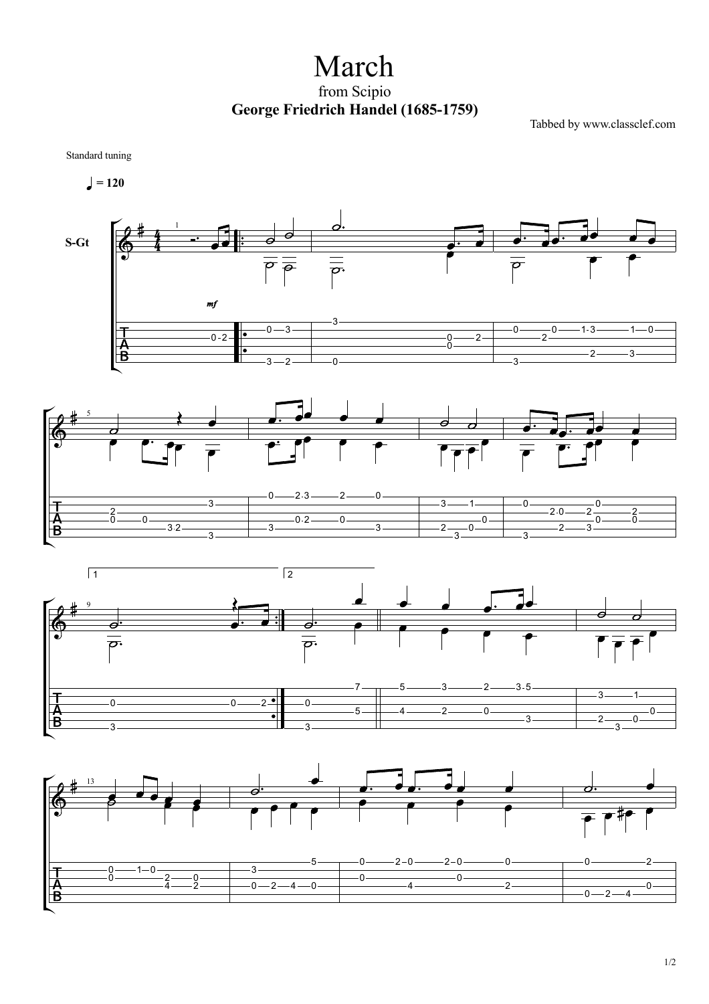March from Scipio **George Friedrich Handel (1685-1759)**

Tabbed by www.classclef.com

Standard tuning

$$
\blacksquare = 120
$$